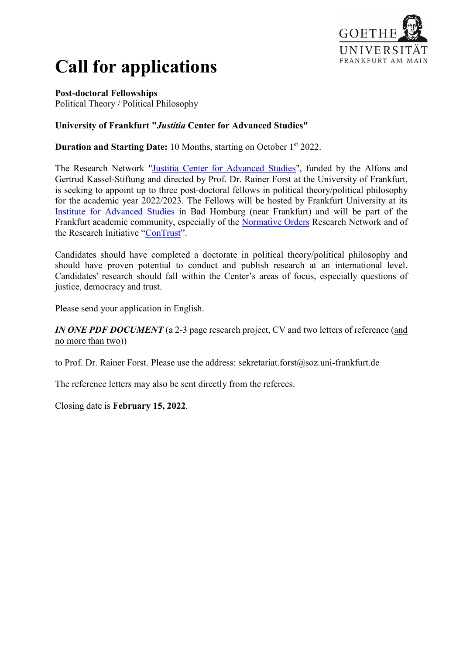

## **Call for applications**

**Post-doctoral Fellowships** Political Theory / Political Philosophy

## **University of Frankfurt "***Justitia* **Center for Advanced Studies"**

**Duration and Starting Date:** 10 Months, starting on October 1<sup>st</sup> 2022.

The Research Network ["Justitia Center for Advanced Studies"](https://www.goethe-university-frankfurt.de/88739409/Justitia_Center_for_Advanced_Studies?), funded by the Alfons and Gertrud Kassel-Stiftung and directed by Prof. Dr. Rainer Forst at the University of Frankfurt, is seeking to appoint up to three post-doctoral fellows in political theory/political philosophy for the academic year 2022/2023. The Fellows will be hosted by Frankfurt University at its [Institute for Advanced Studies](http://www.forschungskolleg-humanwissenschaften.de/index.php?lang=en) in Bad Homburg (near Frankfurt) and will be part of the Frankfurt academic community, especially of the [Normative Orders](https://www.normativeorders.net/en/) Research Network and of the Research Initiative ["ConTrust"](https://contrust.uni-frankfurt.de/).

Candidates should have completed a doctorate in political theory/political philosophy and should have proven potential to conduct and publish research at an international level. Candidates' research should fall within the Center's areas of focus, especially questions of justice, democracy and trust.

Please send your application in English.

*IN ONE PDF DOCUMENT* (a 2-3 page research project, CV and two letters of reference (and no more than two))

to Prof. Dr. Rainer Forst. Please use the address: sekretariat.forst@soz.uni-frankfurt.de

The reference letters may also be sent directly from the referees.

Closing date is **February 15, 2022**.